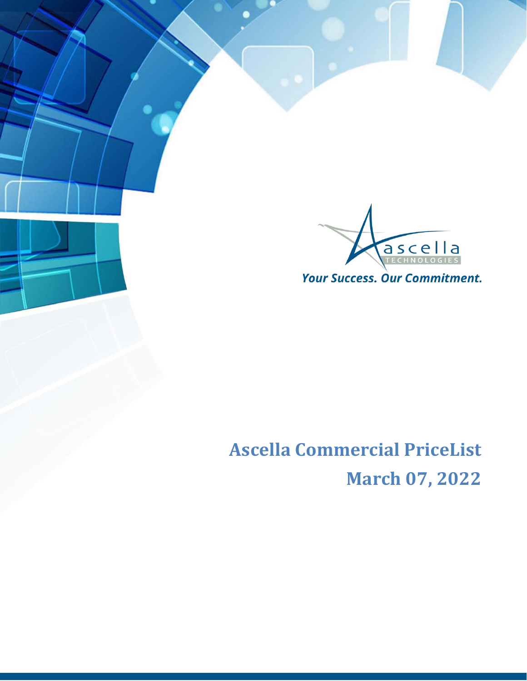

## **Ascella Commercial PriceList March 07, 2022**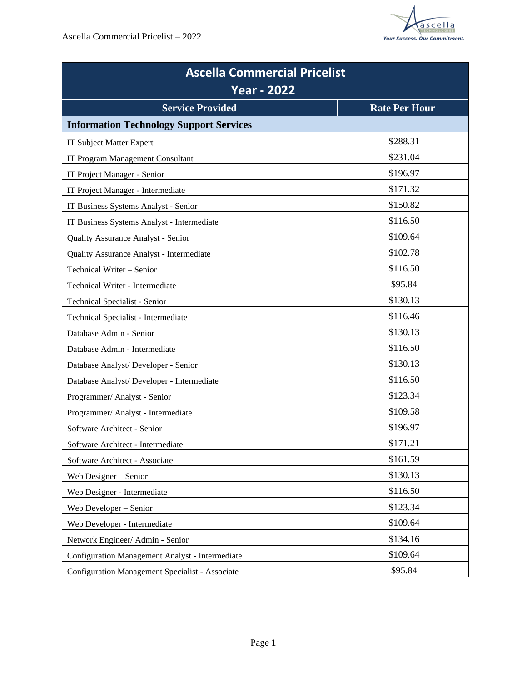

| <b>Ascella Commercial Pricelist</b><br><b>Year - 2022</b> |                      |  |
|-----------------------------------------------------------|----------------------|--|
| <b>Service Provided</b>                                   | <b>Rate Per Hour</b> |  |
| <b>Information Technology Support Services</b>            |                      |  |
| <b>IT Subject Matter Expert</b>                           | \$288.31             |  |
| IT Program Management Consultant                          | \$231.04             |  |
| IT Project Manager - Senior                               | \$196.97             |  |
| IT Project Manager - Intermediate                         | \$171.32             |  |
| IT Business Systems Analyst - Senior                      | \$150.82             |  |
| IT Business Systems Analyst - Intermediate                | \$116.50             |  |
| Quality Assurance Analyst - Senior                        | \$109.64             |  |
| Quality Assurance Analyst - Intermediate                  | \$102.78             |  |
| Technical Writer - Senior                                 | \$116.50             |  |
| Technical Writer - Intermediate                           | \$95.84              |  |
| Technical Specialist - Senior                             | \$130.13             |  |
| Technical Specialist - Intermediate                       | \$116.46             |  |
| Database Admin - Senior                                   | \$130.13             |  |
| Database Admin - Intermediate                             | \$116.50             |  |
| Database Analyst/ Developer - Senior                      | \$130.13             |  |
| Database Analyst/ Developer - Intermediate                | \$116.50             |  |
| Programmer/ Analyst - Senior                              | \$123.34             |  |
| Programmer/ Analyst - Intermediate                        | \$109.58             |  |
| Software Architect - Senior                               | \$196.97             |  |
| Software Architect - Intermediate                         | \$171.21             |  |
| Software Architect - Associate                            | \$161.59             |  |
| Web Designer - Senior                                     | \$130.13             |  |
| Web Designer - Intermediate                               | \$116.50             |  |
| Web Developer - Senior                                    | \$123.34             |  |
| Web Developer - Intermediate                              | \$109.64             |  |
| Network Engineer/ Admin - Senior                          | \$134.16             |  |
| Configuration Management Analyst - Intermediate           | \$109.64             |  |
| Configuration Management Specialist - Associate           | \$95.84              |  |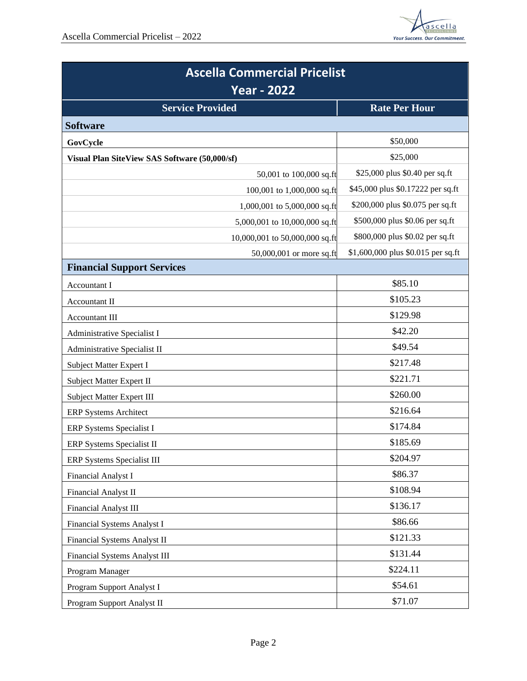

| <b>Ascella Commercial Pricelist</b><br><b>Year - 2022</b> |                                |                                    |
|-----------------------------------------------------------|--------------------------------|------------------------------------|
|                                                           |                                |                                    |
| <b>Software</b>                                           |                                |                                    |
| GovCycle                                                  |                                | \$50,000                           |
| Visual Plan SiteView SAS Software (50,000/sf)             |                                | \$25,000                           |
|                                                           | 50,001 to 100,000 sq.ft        | \$25,000 plus \$0.40 per sq.ft     |
|                                                           | 100,001 to 1,000,000 sq.ft     | \$45,000 plus \$0.17222 per sq.ft  |
|                                                           | 1,000,001 to 5,000,000 sq.ft   | \$200,000 plus \$0.075 per sq.ft   |
|                                                           | 5,000,001 to 10,000,000 sq.ft  | \$500,000 plus \$0.06 per sq.ft    |
|                                                           | 10,000,001 to 50,000,000 sq.ft | \$800,000 plus \$0.02 per sq.ft    |
|                                                           | 50,000,001 or more sq.ft       | \$1,600,000 plus \$0.015 per sq.ft |
| <b>Financial Support Services</b>                         |                                |                                    |
| Accountant I                                              |                                | \$85.10                            |
| <b>Accountant II</b>                                      |                                | \$105.23                           |
| Accountant III                                            |                                | \$129.98                           |
| Administrative Specialist I                               |                                | \$42.20                            |
| Administrative Specialist II                              |                                | \$49.54                            |
| Subject Matter Expert I                                   |                                | \$217.48                           |
| Subject Matter Expert II                                  |                                | \$221.71                           |
| Subject Matter Expert III                                 |                                | \$260.00                           |
| <b>ERP Systems Architect</b>                              |                                | \$216.64                           |
| ERP Systems Specialist I                                  |                                | \$174.84                           |
| ERP Systems Specialist II                                 |                                | \$185.69                           |
| ERP Systems Specialist III                                |                                | \$204.97                           |
| Financial Analyst I                                       |                                | \$86.37                            |
| Financial Analyst II                                      |                                | \$108.94                           |
| Financial Analyst III                                     |                                | \$136.17                           |
| Financial Systems Analyst I                               |                                | \$86.66                            |
| Financial Systems Analyst II                              |                                | \$121.33                           |
| <b>Financial Systems Analyst III</b>                      |                                | \$131.44                           |
| Program Manager                                           |                                | \$224.11                           |
| Program Support Analyst I                                 |                                | \$54.61                            |
| Program Support Analyst II                                |                                | \$71.07                            |